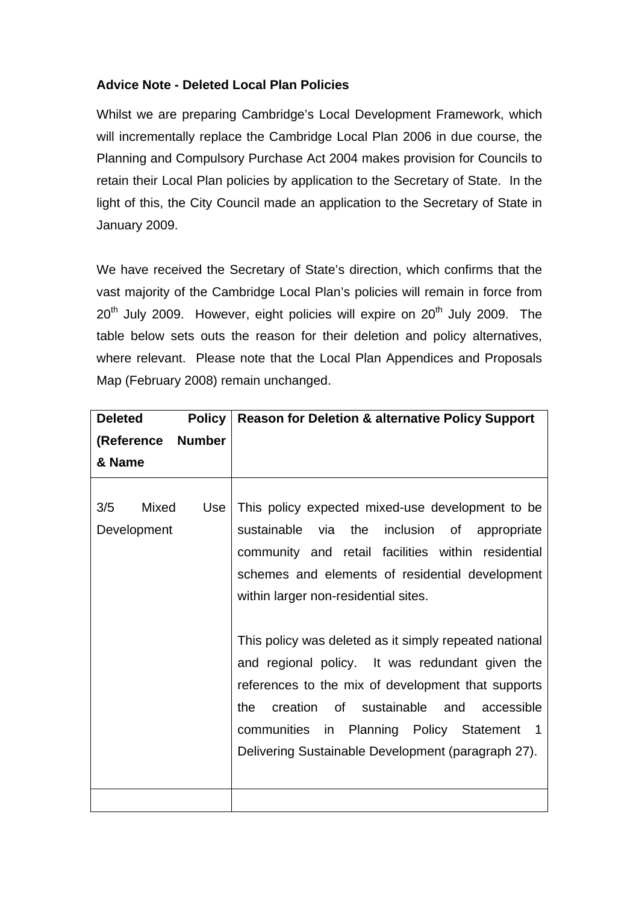## **Advice Note - Deleted Local Plan Policies**

Whilst we are preparing Cambridge's Local Development Framework, which will incrementally replace the Cambridge Local Plan 2006 in due course, the Planning and Compulsory Purchase Act 2004 makes provision for Councils to retain their Local Plan policies by application to the Secretary of State. In the light of this, the City Council made an application to the Secretary of State in January 2009.

We have received the Secretary of State's direction, which confirms that the vast majority of the Cambridge Local Plan's policies will remain in force from 20<sup>th</sup> July 2009. However, eight policies will expire on 20<sup>th</sup> July 2009. The table below sets outs the reason for their deletion and policy alternatives, where relevant. Please note that the Local Plan Appendices and Proposals Map (February 2008) remain unchanged.

| <b>Deleted</b><br>Policy             | <b>Reason for Deletion &amp; alternative Policy Support</b>                                                                                                                                                                                                                                                                                                                                                                                                                                                                                                                     |
|--------------------------------------|---------------------------------------------------------------------------------------------------------------------------------------------------------------------------------------------------------------------------------------------------------------------------------------------------------------------------------------------------------------------------------------------------------------------------------------------------------------------------------------------------------------------------------------------------------------------------------|
| (Reference<br><b>Number</b>          |                                                                                                                                                                                                                                                                                                                                                                                                                                                                                                                                                                                 |
| & Name                               |                                                                                                                                                                                                                                                                                                                                                                                                                                                                                                                                                                                 |
| 3/5<br>Mixed<br>Use l<br>Development | This policy expected mixed-use development to be<br>sustainable via the inclusion of appropriate<br>community and retail facilities within residential<br>schemes and elements of residential development<br>within larger non-residential sites.<br>This policy was deleted as it simply repeated national<br>and regional policy. It was redundant given the<br>references to the mix of development that supports<br>creation<br>of sustainable and<br>the<br>accessible<br>communities in Planning Policy Statement 1<br>Delivering Sustainable Development (paragraph 27). |
|                                      |                                                                                                                                                                                                                                                                                                                                                                                                                                                                                                                                                                                 |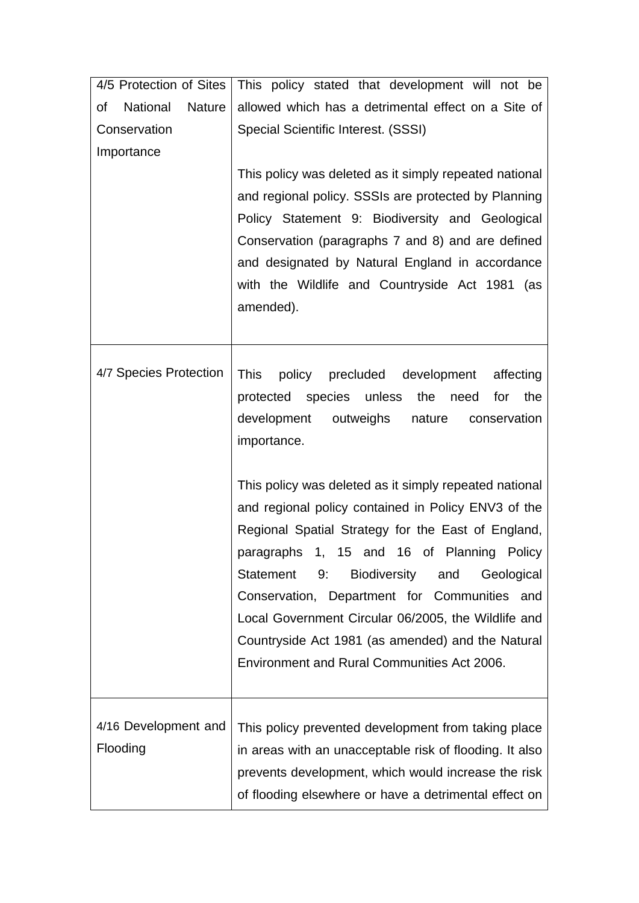| 4/5 Protection of Sites                | This policy stated that development will not be                                                          |
|----------------------------------------|----------------------------------------------------------------------------------------------------------|
| <b>National</b><br><b>Nature</b><br>of | allowed which has a detrimental effect on a Site of                                                      |
| Conservation                           | Special Scientific Interest. (SSSI)                                                                      |
| Importance                             |                                                                                                          |
|                                        | This policy was deleted as it simply repeated national                                                   |
|                                        | and regional policy. SSSIs are protected by Planning                                                     |
|                                        | Policy Statement 9: Biodiversity and Geological                                                          |
|                                        | Conservation (paragraphs 7 and 8) and are defined                                                        |
|                                        | and designated by Natural England in accordance                                                          |
|                                        | with the Wildlife and Countryside Act 1981 (as                                                           |
|                                        | amended).                                                                                                |
|                                        |                                                                                                          |
|                                        |                                                                                                          |
| 4/7 Species Protection                 | <b>This</b><br>policy precluded development affecting                                                    |
|                                        | protected species unless<br>the<br>the<br>need<br>for                                                    |
|                                        | development outweighs<br>nature<br>conservation                                                          |
|                                        | importance.                                                                                              |
|                                        |                                                                                                          |
|                                        | This policy was deleted as it simply repeated national                                                   |
|                                        | and regional policy contained in Policy ENV3 of the                                                      |
|                                        | Regional Spatial Strategy for the East of England,                                                       |
|                                        | paragraphs 1, 15 and 16 of Planning Policy                                                               |
|                                        | 9:<br>Biodiversity and<br>Statement<br>Geological                                                        |
|                                        | Conservation, Department for Communities and                                                             |
|                                        | Local Government Circular 06/2005, the Wildlife and<br>Countryside Act 1981 (as amended) and the Natural |
|                                        | Environment and Rural Communities Act 2006.                                                              |
|                                        |                                                                                                          |
|                                        |                                                                                                          |
| 4/16 Development and                   | This policy prevented development from taking place                                                      |
| Flooding                               | in areas with an unacceptable risk of flooding. It also                                                  |
|                                        | prevents development, which would increase the risk                                                      |
|                                        | of flooding elsewhere or have a detrimental effect on                                                    |
|                                        |                                                                                                          |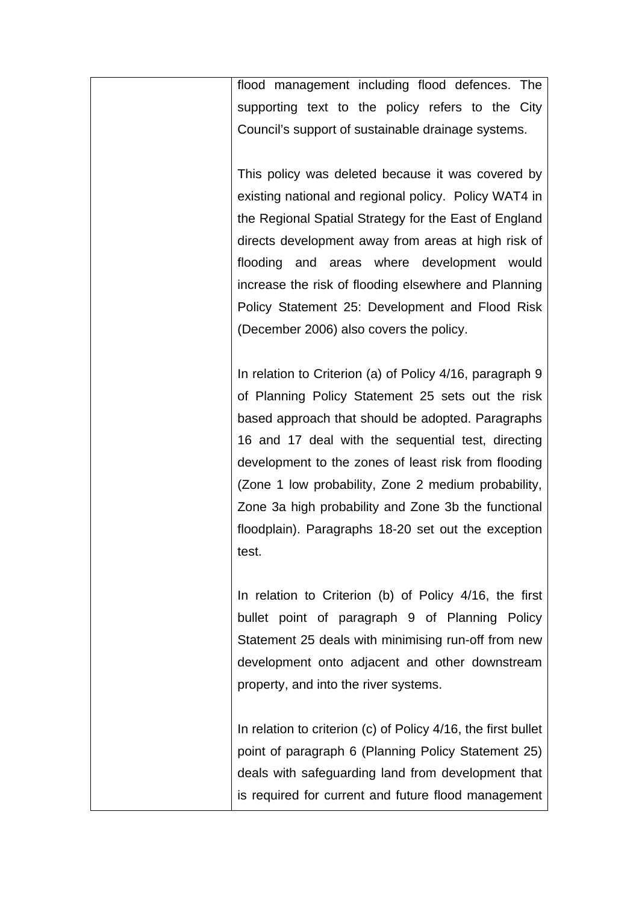flood management including flood defences. The supporting text to the policy refers to the City Council's support of sustainable drainage systems.

This policy was deleted because it was covered by existing national and regional policy. Policy WAT4 in the Regional Spatial Strategy for the East of England directs development away from areas at high risk of flooding and areas where development would increase the risk of flooding elsewhere and Planning Policy Statement 25: Development and Flood Risk (December 2006) also covers the policy.

In relation to Criterion (a) of Policy 4/16, paragraph 9 of Planning Policy Statement 25 sets out the risk based approach that should be adopted. Paragraphs 16 and 17 deal with the sequential test, directing development to the zones of least risk from flooding (Zone 1 low probability, Zone 2 medium probability, Zone 3a high probability and Zone 3b the functional floodplain). Paragraphs 18-20 set out the exception test.

In relation to Criterion (b) of Policy 4/16, the first bullet point of paragraph 9 of Planning Policy Statement 25 deals with minimising run-off from new development onto adjacent and other downstream property, and into the river systems.

In relation to criterion (c) of Policy 4/16, the first bullet point of paragraph 6 (Planning Policy Statement 25) deals with safeguarding land from development that is required for current and future flood management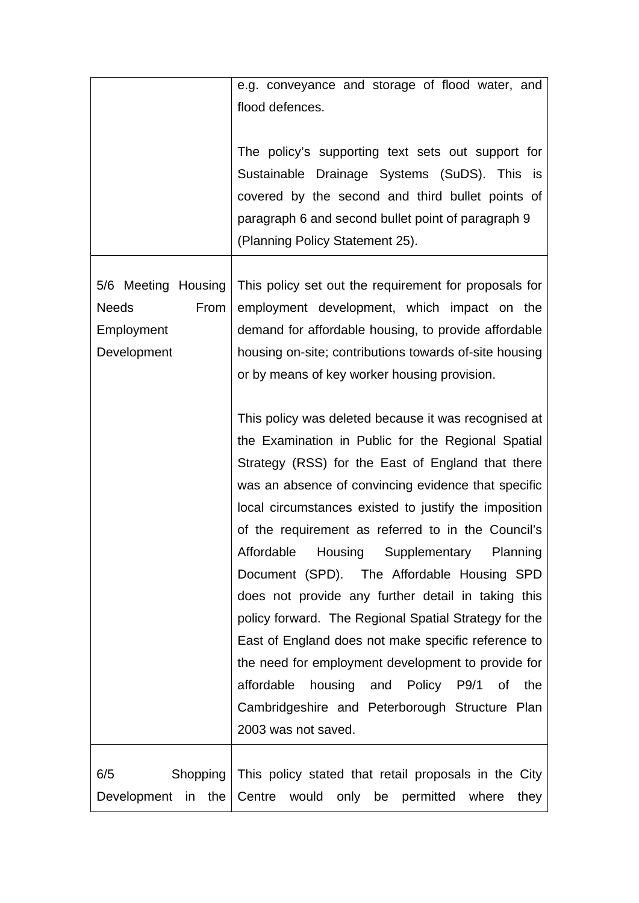|                      | e.g. conveyance and storage of flood water, and        |
|----------------------|--------------------------------------------------------|
|                      | flood defences.                                        |
|                      |                                                        |
|                      | The policy's supporting text sets out support for      |
|                      | Sustainable Drainage Systems (SuDS). This is           |
|                      | covered by the second and third bullet points of       |
|                      | paragraph 6 and second bullet point of paragraph 9     |
|                      | (Planning Policy Statement 25).                        |
|                      |                                                        |
| 5/6 Meeting Housing  | This policy set out the requirement for proposals for  |
| <b>Needs</b><br>From | employment development, which impact on the            |
| Employment           | demand for affordable housing, to provide affordable   |
|                      |                                                        |
| Development          | housing on-site; contributions towards of-site housing |
|                      | or by means of key worker housing provision.           |
|                      |                                                        |
|                      | This policy was deleted because it was recognised at   |
|                      | the Examination in Public for the Regional Spatial     |
|                      | Strategy (RSS) for the East of England that there      |
|                      | was an absence of convincing evidence that specific    |
|                      | local circumstances existed to justify the imposition  |
|                      | of the requirement as referred to in the Council's     |
|                      | Affordable Housing Supplementary Planning              |
|                      | Document (SPD). The Affordable Housing SPD             |
|                      | does not provide any further detail in taking this     |
|                      |                                                        |
|                      | policy forward. The Regional Spatial Strategy for the  |
|                      | East of England does not make specific reference to    |
|                      | the need for employment development to provide for     |
|                      | affordable<br>housing and Policy P9/1 of<br>the        |
|                      | Cambridgeshire and Peterborough Structure Plan         |
|                      | 2003 was not saved.                                    |
|                      |                                                        |
| Shopping<br>6/5      | This policy stated that retail proposals in the City   |
| Development in the   | Centre would only be permitted<br>where<br>they        |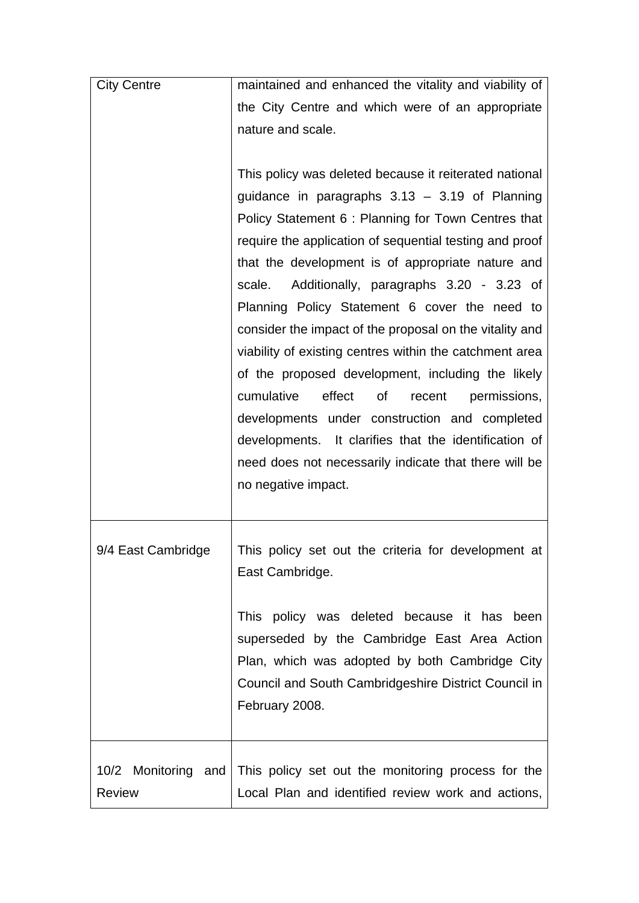| <b>City Centre</b>  | maintained and enhanced the vitality and viability of                                          |
|---------------------|------------------------------------------------------------------------------------------------|
|                     | the City Centre and which were of an appropriate                                               |
|                     | nature and scale.                                                                              |
|                     |                                                                                                |
|                     | This policy was deleted because it reiterated national                                         |
|                     | guidance in paragraphs $3.13 - 3.19$ of Planning                                               |
|                     | Policy Statement 6 : Planning for Town Centres that                                            |
|                     | require the application of sequential testing and proof                                        |
|                     | that the development is of appropriate nature and                                              |
|                     | Additionally, paragraphs 3.20 - 3.23 of<br>scale.                                              |
|                     | Planning Policy Statement 6 cover the need to                                                  |
|                     | consider the impact of the proposal on the vitality and                                        |
|                     | viability of existing centres within the catchment area                                        |
|                     | of the proposed development, including the likely                                              |
|                     | cumulative<br>effect<br>οf<br>recent<br>permissions,                                           |
|                     | developments under construction and completed                                                  |
|                     | developments. It clarifies that the identification of                                          |
|                     | need does not necessarily indicate that there will be                                          |
|                     | no negative impact.                                                                            |
|                     |                                                                                                |
|                     |                                                                                                |
| 9/4 East Cambridge  | This policy set out the criteria for development at                                            |
|                     | East Cambridge.                                                                                |
|                     |                                                                                                |
|                     | This policy was deleted because it has been                                                    |
|                     | superseded by the Cambridge East Area Action<br>Plan, which was adopted by both Cambridge City |
|                     | Council and South Cambridgeshire District Council in                                           |
|                     |                                                                                                |
|                     | February 2008.                                                                                 |
|                     |                                                                                                |
| 10/2 Monitoring and | This policy set out the monitoring process for the                                             |
| <b>Review</b>       | Local Plan and identified review work and actions,                                             |